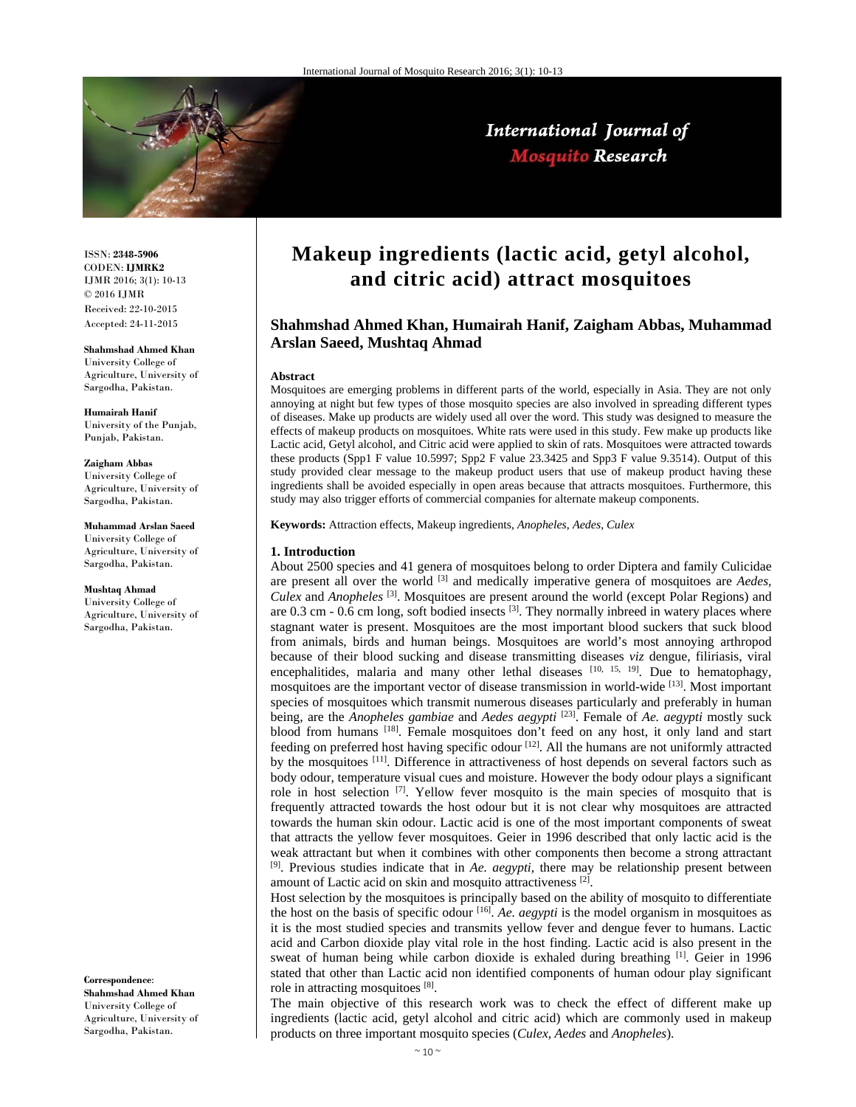

# International Journal of **Mosquito Research**

ISSN: **2348-5906** CODEN: **IJMRK2** IJMR 2016; 3(1): 10-13 © 2016 IJMR Received: 22-10-2015 Accepted: 24-11-2015

#### **Shahmshad Ahmed Khan**

University College of Agriculture, University of Sargodha, Pakistan.

**Humairah Hanif**  University of the Punjab, Punjab, Pakistan.

**Zaigham Abbas**  University College of Agriculture, University of Sargodha, Pakistan.

#### **Muhammad Arslan Saeed**

University College of Agriculture, University of Sargodha, Pakistan.

#### **Mushtaq Ahmad**

University College of Agriculture, University of Sargodha, Pakistan.

**Correspondence**: **Shahmshad Ahmed Khan**  University College of Agriculture, University of Sargodha, Pakistan.

# **Makeup ingredients (lactic acid, getyl alcohol, and citric acid) attract mosquitoes**

# **Shahmshad Ahmed Khan, Humairah Hanif, Zaigham Abbas, Muhammad Arslan Saeed, Mushtaq Ahmad**

#### **Abstract**

Mosquitoes are emerging problems in different parts of the world, especially in Asia. They are not only annoying at night but few types of those mosquito species are also involved in spreading different types of diseases. Make up products are widely used all over the word. This study was designed to measure the effects of makeup products on mosquitoes. White rats were used in this study. Few make up products like Lactic acid, Getyl alcohol, and Citric acid were applied to skin of rats. Mosquitoes were attracted towards these products (Spp1 F value 10.5997; Spp2 F value 23.3425 and Spp3 F value 9.3514). Output of this study provided clear message to the makeup product users that use of makeup product having these ingredients shall be avoided especially in open areas because that attracts mosquitoes. Furthermore, this study may also trigger efforts of commercial companies for alternate makeup components.

**Keywords:** Attraction effects, Makeup ingredients, *Anopheles*, *Aedes*, *Culex*

#### **1. Introduction**

About 2500 species and 41 genera of mosquitoes belong to order Diptera and family Culicidae are present all over the world <sup>[3]</sup> and medically imperative genera of mosquitoes are *Aedes*, *Culex* and *Anopheles* [3]. Mosquitoes are present around the world (except Polar Regions) and are  $0.3$  cm -  $0.6$  cm long, soft bodied insects  $^{[3]}$ . They normally inbreed in watery places where stagnant water is present. Mosquitoes are the most important blood suckers that suck blood from animals, birds and human beings. Mosquitoes are world's most annoying arthropod because of their blood sucking and disease transmitting diseases *viz* dengue, filiriasis, viral encephalitides, malaria and many other lethal diseases  $[10, 15, 19]$ . Due to hematophagy, mosquitoes are the important vector of disease transmission in world-wide [13]. Most important species of mosquitoes which transmit numerous diseases particularly and preferably in human being, are the *Anopheles gambiae* and *Aedes aegypti* [23]. Female of *Ae. aegypti* mostly suck blood from humans [18]. Female mosquitoes don't feed on any host, it only land and start feeding on preferred host having specific odour [12]. All the humans are not uniformly attracted by the mosquitoes <sup>[11]</sup>. Difference in attractiveness of host depends on several factors such as body odour, temperature visual cues and moisture. However the body odour plays a significant role in host selection  $[7]$ . Yellow fever mosquito is the main species of mosquito that is frequently attracted towards the host odour but it is not clear why mosquitoes are attracted towards the human skin odour. Lactic acid is one of the most important components of sweat that attracts the yellow fever mosquitoes. Geier in 1996 described that only lactic acid is the weak attractant but when it combines with other components then become a strong attractant [9]. Previous studies indicate that in *Ae. aegypti,* there may be relationship present between amount of Lactic acid on skin and mosquito attractiveness [2].

Host selection by the mosquitoes is principally based on the ability of mosquito to differentiate the host on the basis of specific odour [16]. *Ae. aegypti* is the model organism in mosquitoes as it is the most studied species and transmits yellow fever and dengue fever to humans. Lactic acid and Carbon dioxide play vital role in the host finding. Lactic acid is also present in the sweat of human being while carbon dioxide is exhaled during breathing [1]. Geier in 1996 stated that other than Lactic acid non identified components of human odour play significant role in attracting mosquitoes [8].

The main objective of this research work was to check the effect of different make up ingredients (lactic acid, getyl alcohol and citric acid) which are commonly used in makeup products on three important mosquito species (*Culex, Aedes* and *Anopheles*).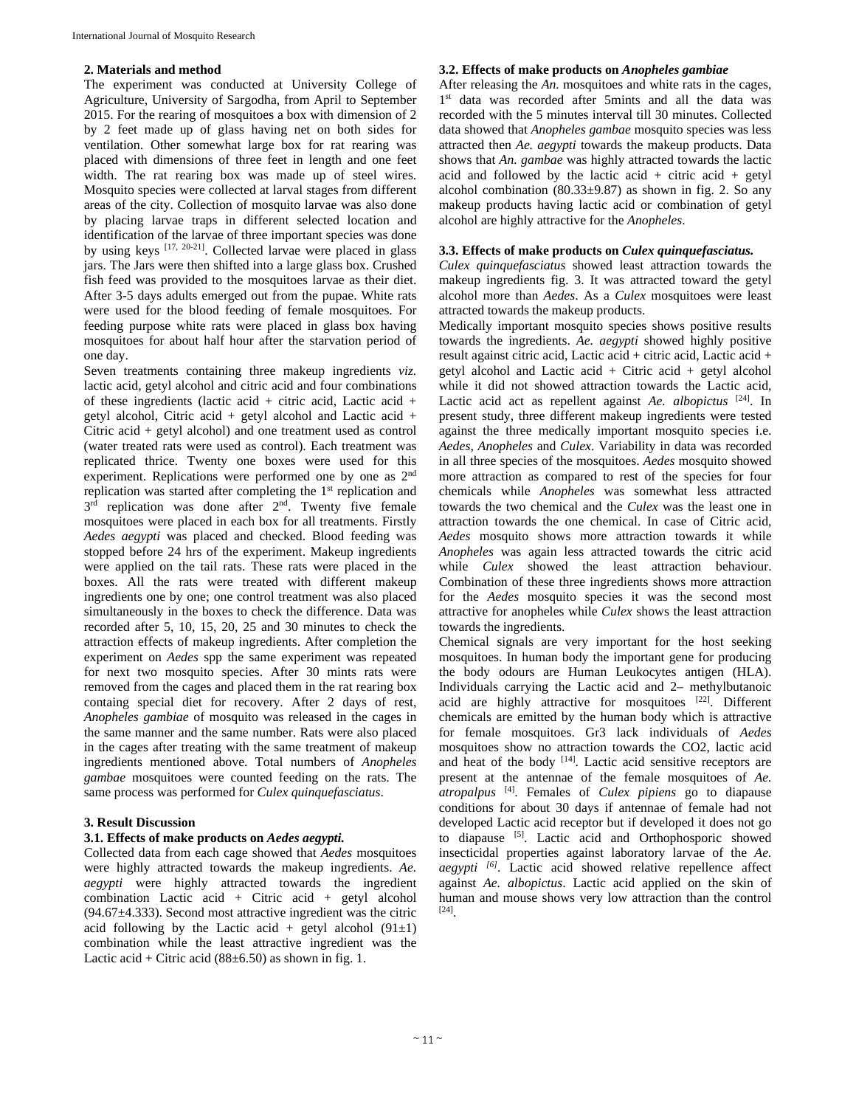#### **2. Materials and method**

The experiment was conducted at University College of Agriculture, University of Sargodha, from April to September 2015. For the rearing of mosquitoes a box with dimension of 2 by 2 feet made up of glass having net on both sides for ventilation. Other somewhat large box for rat rearing was placed with dimensions of three feet in length and one feet width. The rat rearing box was made up of steel wires. Mosquito species were collected at larval stages from different areas of the city. Collection of mosquito larvae was also done by placing larvae traps in different selected location and identification of the larvae of three important species was done by using keys  $[17, 20-21]$ . Collected larvae were placed in glass jars. The Jars were then shifted into a large glass box. Crushed fish feed was provided to the mosquitoes larvae as their diet. After 3-5 days adults emerged out from the pupae. White rats were used for the blood feeding of female mosquitoes. For feeding purpose white rats were placed in glass box having mosquitoes for about half hour after the starvation period of one day.

Seven treatments containing three makeup ingredients *viz.* lactic acid, getyl alcohol and citric acid and four combinations of these ingredients (lactic acid + citric acid, Lactic acid + getyl alcohol, Citric acid + getyl alcohol and Lactic acid + Citric acid + getyl alcohol) and one treatment used as control (water treated rats were used as control). Each treatment was replicated thrice. Twenty one boxes were used for this experiment. Replications were performed one by one as 2nd replication was started after completing the 1<sup>st</sup> replication and 3<sup>rd</sup> replication was done after 2<sup>nd</sup>. Twenty five female mosquitoes were placed in each box for all treatments. Firstly *Aedes aegypti* was placed and checked. Blood feeding was stopped before 24 hrs of the experiment. Makeup ingredients were applied on the tail rats. These rats were placed in the boxes. All the rats were treated with different makeup ingredients one by one; one control treatment was also placed simultaneously in the boxes to check the difference. Data was recorded after 5, 10, 15, 20, 25 and 30 minutes to check the attraction effects of makeup ingredients. After completion the experiment on *Aedes* spp the same experiment was repeated for next two mosquito species. After 30 mints rats were removed from the cages and placed them in the rat rearing box containg special diet for recovery. After 2 days of rest, *Anopheles gambiae* of mosquito was released in the cages in the same manner and the same number. Rats were also placed in the cages after treating with the same treatment of makeup ingredients mentioned above. Total numbers of *Anopheles gambae* mosquitoes were counted feeding on the rats. The same process was performed for *Culex quinquefasciatus*.

# **3. Result Discussion**

# **3.1. Effects of make products on** *Aedes aegypti.*

Collected data from each cage showed that *Aedes* mosquitoes were highly attracted towards the makeup ingredients. *Ae. aegypti* were highly attracted towards the ingredient combination Lactic acid + Citric acid + getyl alcohol (94.67±4.333). Second most attractive ingredient was the citric acid following by the Lactic acid + getyl alcohol  $(91\pm1)$ combination while the least attractive ingredient was the Lactic acid + Citric acid  $(88±6.50)$  as shown in fig. 1.

### **3.2. Effects of make products on** *Anopheles gambiae*

After releasing the *An.* mosquitoes and white rats in the cages, 1<sup>st</sup> data was recorded after 5mints and all the data was recorded with the 5 minutes interval till 30 minutes. Collected data showed that *Anopheles gambae* mosquito species was less attracted then *Ae. aegypti* towards the makeup products. Data shows that *An. gambae* was highly attracted towards the lactic acid and followed by the lactic acid + citric acid + getyl alcohol combination  $(80.33\pm9.87)$  as shown in fig. 2. So any makeup products having lactic acid or combination of getyl alcohol are highly attractive for the *Anopheles*.

### **3.3. Effects of make products on** *Culex quinquefasciatus.*

*Culex quinquefasciatus* showed least attraction towards the makeup ingredients fig. 3. It was attracted toward the getyl alcohol more than *Aedes*. As a *Culex* mosquitoes were least attracted towards the makeup products.

Medically important mosquito species shows positive results towards the ingredients. *Ae. aegypti* showed highly positive result against citric acid, Lactic acid + citric acid, Lactic acid + getyl alcohol and Lactic acid + Citric acid + getyl alcohol while it did not showed attraction towards the Lactic acid, Lactic acid act as repellent against *Ae. albopictus* [24]. In present study, three different makeup ingredients were tested against the three medically important mosquito species i.e. *Aedes*, *Anopheles* and *Culex*. Variability in data was recorded in all three species of the mosquitoes. *Aedes* mosquito showed more attraction as compared to rest of the species for four chemicals while *Anopheles* was somewhat less attracted towards the two chemical and the *Culex* was the least one in attraction towards the one chemical. In case of Citric acid, *Aedes* mosquito shows more attraction towards it while *Anopheles* was again less attracted towards the citric acid while *Culex* showed the least attraction behaviour. Combination of these three ingredients shows more attraction for the *Aedes* mosquito species it was the second most attractive for anopheles while *Culex* shows the least attraction towards the ingredients.

Chemical signals are very important for the host seeking mosquitoes. In human body the important gene for producing the body odours are Human Leukocytes antigen (HLA). Individuals carrying the Lactic acid and 2– methylbutanoic acid are highly attractive for mosquitoes [22]. Different chemicals are emitted by the human body which is attractive for female mosquitoes. Gr3 lack individuals of *Aedes* mosquitoes show no attraction towards the CO2, lactic acid and heat of the body [14]. Lactic acid sensitive receptors are present at the antennae of the female mosquitoes of *Ae. atropalpus* [4]. Females of *Culex pipiens* go to diapause conditions for about 30 days if antennae of female had not developed Lactic acid receptor but if developed it does not go to diapause [5]. Lactic acid and Orthophosporic showed insecticidal properties against laboratory larvae of the *Ae. aegypti [6]*. Lactic acid showed relative repellence affect against *Ae. albopictus*. Lactic acid applied on the skin of human and mouse shows very low attraction than the control [24].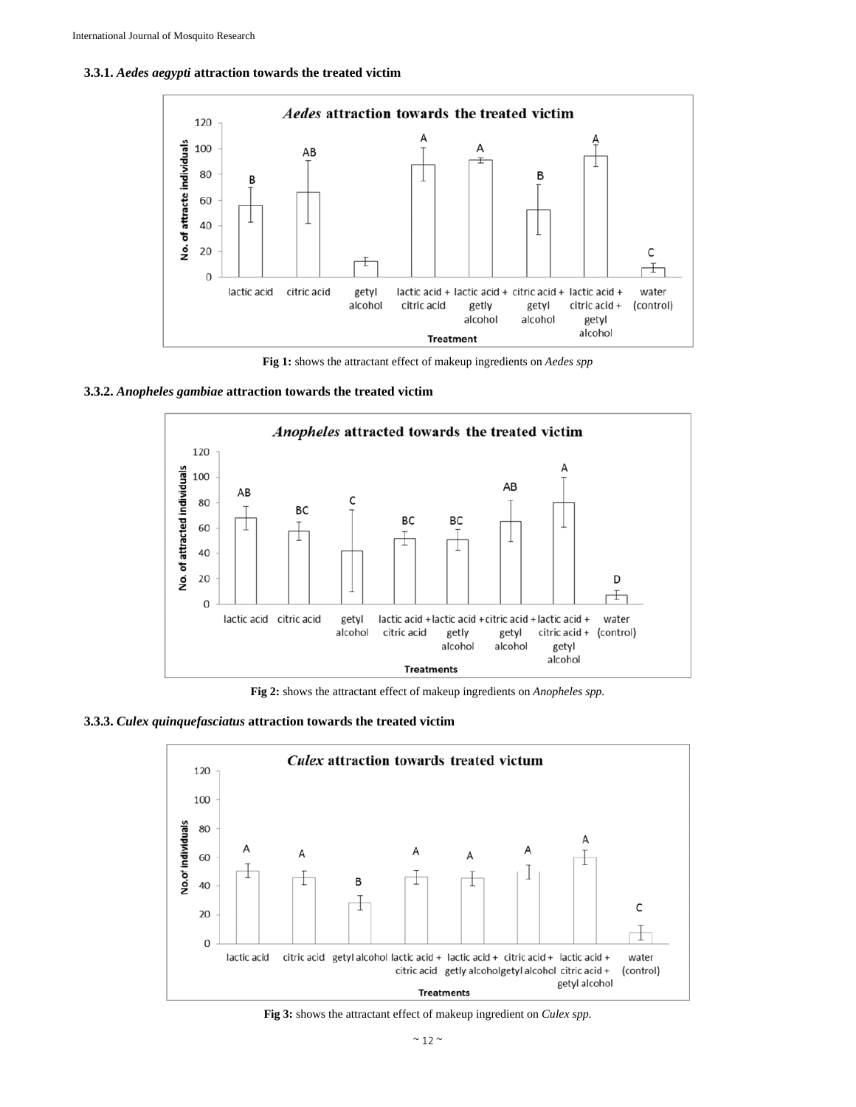



**Fig 1:** shows the attractant effect of makeup ingredients on *Aedes spp* 





**Fig 2:** shows the attractant effect of makeup ingredients on *Anopheles spp.*

**3.3.3.** *Culex quinquefasciatus* **attraction towards the treated victim** 



**Fig 3:** shows the attractant effect of makeup ingredient on *Culex spp.*